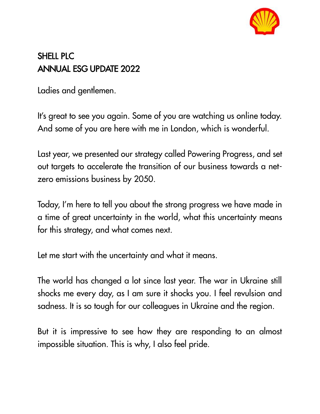

## SHELL PLC ANNUAL ESG UPDATE 2022

Ladies and gentlemen.

It's great to see you again. Some of you are watching us online today. And some of you are here with me in London, which is wonderful.

Last year, we presented our strategy called Powering Progress, and set out targets to accelerate the transition of our business towards a netzero emissions business by 2050.

Today, I'm here to tell you about the strong progress we have made in a time of great uncertainty in the world, what this uncertainty means for this strategy, and what comes next.

Let me start with the uncertainty and what it means.

The world has changed a lot since last year. The war in Ukraine still shocks me every day, as I am sure it shocks you. I feel revulsion and sadness. It is so tough for our colleagues in Ukraine and the region.

But it is impressive to see how they are responding to an almost impossible situation. This is why, I also feel pride.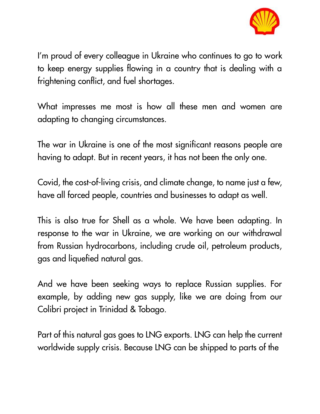

I'm proud of every colleague in Ukraine who continues to go to work to keep energy supplies flowing in a country that is dealing with a frightening conflict, and fuel shortages.

What impresses me most is how all these men and women are adapting to changing circumstances.

The war in Ukraine is one of the most significant reasons people are having to adapt. But in recent years, it has not been the only one.

Covid, the cost-of-living crisis, and climate change, to name just a few, have all forced people, countries and businesses to adapt as well.

This is also true for Shell as a whole. We have been adapting. In response to the war in Ukraine, we are working on our withdrawal from Russian hydrocarbons, including crude oil, petroleum products, gas and liquefied natural gas.

And we have been seeking ways to replace Russian supplies. For example, by adding new gas supply, like we are doing from our Colibri project in Trinidad & Tobago.

Part of this natural gas goes to LNG exports. LNG can help the current worldwide supply crisis. Because LNG can be shipped to parts of the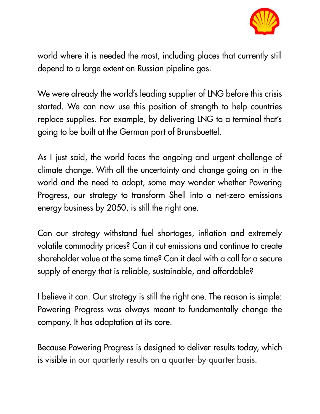

world where it is needed the most, including places that currently still depend to a large extent on Russian pipeline gas.

We were already the world's leading supplier of LNG before this crisis started. We can now use this position of strength to help countries replace supplies. For example, by delivering LNG to a terminal that's going to be built at the German port of Brunsbuettel.

As I just said, the world faces the ongoing and urgent challenge of climate change. With all the uncertainty and change going on in the world and the need to adapt, some may wonder whether Powering Progress, our strategy to transform Shell into a net-zero emissions energy business by 2050, is still the right one.

Can our strategy withstand fuel shortages, inflation and extremely volatile commodity prices? Can it cut emissions and continue to create shareholder value at the same time? Can it deal with a call for a secure supply of energy that is reliable, sustainable, and affordable?

I believe it can. Our strategy is still the right one. The reason is simple: Powering Progress was always meant to fundamentally change the company. It has adaptation at its core.

Because Powering Progress is designed to deliver results today, which is visible in our quarterly results on a quarter-by-quarter basis.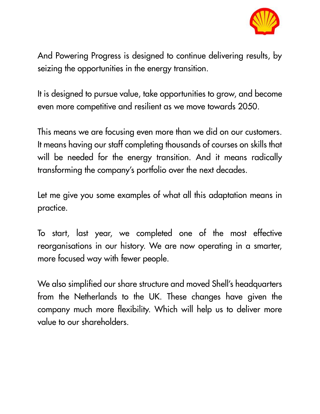

And Powering Progress is designed to continue delivering results, by seizing the opportunities in the energy transition.

It is designed to pursue value, take opportunities to grow, and become even more competitive and resilient as we move towards 2050.

This means we are focusing even more than we did on our customers. It means having our staff completing thousands of courses on skills that will be needed for the energy transition. And it means radically transforming the company's portfolio over the next decades.

Let me give you some examples of what all this adaptation means in practice.

To start, last year, we completed one of the most effective reorganisations in our history. We are now operating in a smarter, more focused way with fewer people.

We also simplified our share structure and moved Shell's headquarters from the Netherlands to the UK. These changes have given the company much more flexibility. Which will help us to deliver more value to our shareholders.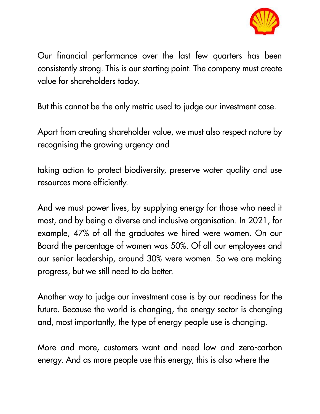

Our financial performance over the last few quarters has been consistently strong. This is our starting point. The company must create value for shareholders today.

But this cannot be the only metric used to judge our investment case.

Apart from creating shareholder value, we must also respect nature by recognising the growing urgency and

taking action to protect biodiversity, preserve water quality and use resources more efficiently.

And we must power lives, by supplying energy for those who need it most, and by being a diverse and inclusive organisation. In 2021, for example, 47% of all the graduates we hired were women. On our Board the percentage of women was 50%. Of all our employees and our senior leadership, around 30% were women. So we are making progress, but we still need to do better.

Another way to judge our investment case is by our readiness for the future. Because the world is changing, the energy sector is changing and, most importantly, the type of energy people use is changing.

More and more, customers want and need low and zero-carbon energy. And as more people use this energy, this is also where the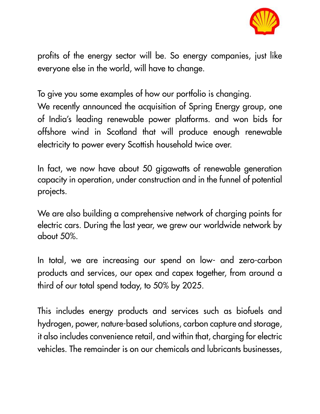

profits of the energy sector will be. So energy companies, just like everyone else in the world, will have to change.

To give you some examples of how our portfolio is changing.

We recently announced the acquisition of Spring Energy group, one of India's leading renewable power platforms. and won bids for offshore wind in Scotland that will produce enough renewable electricity to power every Scottish household twice over.

In fact, we now have about 50 gigawatts of renewable generation capacity in operation, under construction and in the funnel of potential projects.

We are also building a comprehensive network of charging points for electric cars. During the last year, we grew our worldwide network by about 50%.

In total, we are increasing our spend on low- and zero-carbon products and services, our opex and capex together, from around a third of our total spend today, to 50% by 2025.

This includes energy products and services such as biofuels and hydrogen, power, nature-based solutions, carbon capture and storage, it also includes convenience retail, and within that, charging for electric vehicles. The remainder is on our chemicals and lubricants businesses,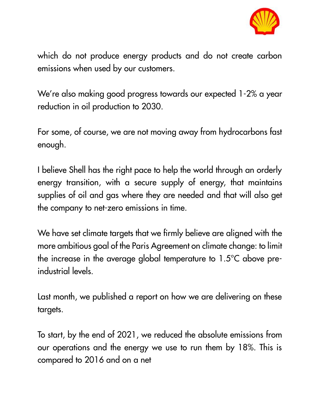

which do not produce energy products and do not create carbon emissions when used by our customers.

We're also making good progress towards our expected 1-2% a year reduction in oil production to 2030.

For some, of course, we are not moving away from hydrocarbons fast enough.

I believe Shell has the right pace to help the world through an orderly energy transition, with a secure supply of energy, that maintains supplies of oil and gas where they are needed and that will also get the company to net-zero emissions in time.

We have set climate targets that we firmly believe are aligned with the more ambitious goal of the Paris Agreement on climate change: to limit the increase in the average global temperature to 1.5°C above preindustrial levels.

Last month, we published a report on how we are delivering on these targets.

To start, by the end of 2021, we reduced the absolute emissions from our operations and the energy we use to run them by 18%. This is compared to 2016 and on a net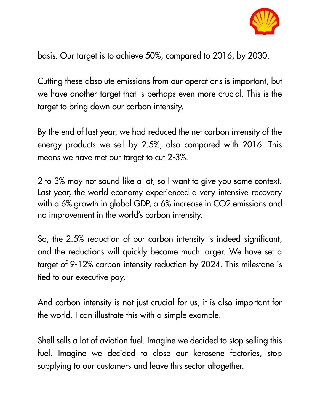

basis. Our target is to achieve 50%, compared to 2016, by 2030.

Cutting these absolute emissions from our operations is important, but we have another target that is perhaps even more crucial. This is the target to bring down our carbon intensity.

By the end of last year, we had reduced the net carbon intensity of the energy products we sell by 2.5%, also compared with 2016. This means we have met our target to cut 2-3%.

2 to 3% may not sound like a lot, so I want to give you some context. Last year, the world economy experienced a very intensive recovery with a 6% growth in global GDP, a 6% increase in CO2 emissions and no improvement in the world's carbon intensity.

So, the 2.5% reduction of our carbon intensity is indeed significant, and the reductions will quickly become much larger. We have set a target of 9-12% carbon intensity reduction by 2024. This milestone is tied to our executive pay.

And carbon intensity is not just crucial for us, it is also important for the world. I can illustrate this with a simple example.

Shell sells a lot of aviation fuel. Imagine we decided to stop selling this fuel. Imagine we decided to close our kerosene factories, stop supplying to our customers and leave this sector altogether.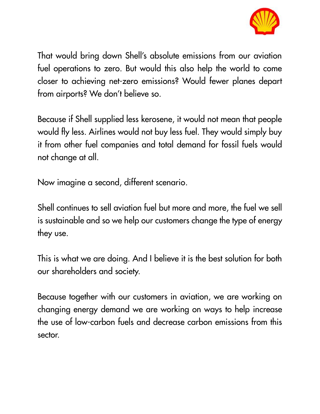

That would bring down Shell's absolute emissions from our aviation fuel operations to zero. But would this also help the world to come closer to achieving net-zero emissions? Would fewer planes depart from airports? We don't believe so.

Because if Shell supplied less kerosene, it would not mean that people would fly less. Airlines would not buy less fuel. They would simply buy it from other fuel companies and total demand for fossil fuels would not change at all.

Now imagine a second, different scenario.

Shell continues to sell aviation fuel but more and more, the fuel we sell is sustainable and so we help our customers change the type of energy they use.

This is what we are doing. And I believe it is the best solution for both our shareholders and society.

Because together with our customers in aviation, we are working on changing energy demand we are working on ways to help increase the use of low-carbon fuels and decrease carbon emissions from this sector.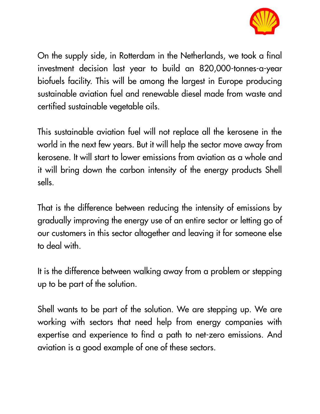

On the supply side, in Rotterdam in the Netherlands, we took a final investment decision last year to build an 820,000-tonnes-a-year biofuels facility. This will be among the largest in Europe producing sustainable aviation fuel and renewable diesel made from waste and certified sustainable vegetable oils.

This sustainable aviation fuel will not replace all the kerosene in the world in the next few years. But it will help the sector move away from kerosene. It will start to lower emissions from aviation as a whole and it will bring down the carbon intensity of the energy products Shell sells.

That is the difference between reducing the intensity of emissions by gradually improving the energy use of an entire sector or letting go of our customers in this sector altogether and leaving it for someone else to deal with.

It is the difference between walking away from a problem or stepping up to be part of the solution.

Shell wants to be part of the solution. We are stepping up. We are working with sectors that need help from energy companies with expertise and experience to find a path to net-zero emissions. And aviation is a good example of one of these sectors.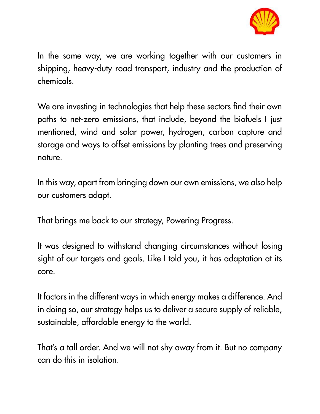

In the same way, we are working together with our customers in shipping, heavy-duty road transport, industry and the production of chemicals.

We are investing in technologies that help these sectors find their own paths to net-zero emissions, that include, beyond the biofuels I just mentioned, wind and solar power, hydrogen, carbon capture and storage and ways to offset emissions by planting trees and preserving nature.

In this way, apart from bringing down our own emissions, we also help our customers adapt.

That brings me back to our strategy, Powering Progress.

It was designed to withstand changing circumstances without losing sight of our targets and goals. Like I told you, it has adaptation at its core.

It factors in the different ways in which energy makes a difference. And in doing so, our strategy helps us to deliver a secure supply of reliable, sustainable, affordable energy to the world.

That's a tall order. And we will not shy away from it. But no company can do this in isolation.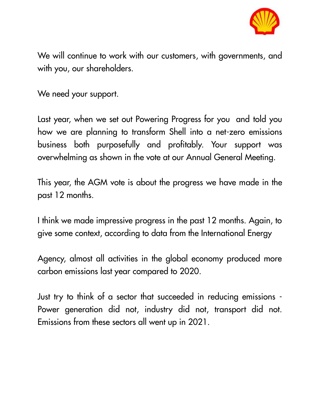

We will continue to work with our customers, with governments, and with you, our shareholders.

We need your support.

Last year, when we set out Powering Progress for you and told you how we are planning to transform Shell into a net-zero emissions business both purposefully and profitably. Your support was overwhelming as shown in the vote at our Annual General Meeting.

This year, the AGM vote is about the progress we have made in the past 12 months.

I think we made impressive progress in the past 12 months. Again, to give some context, according to data from the International Energy

Agency, almost all activities in the global economy produced more carbon emissions last year compared to 2020.

Just try to think of a sector that succeeded in reducing emissions - Power generation did not, industry did not, transport did not. Emissions from these sectors all went up in 2021.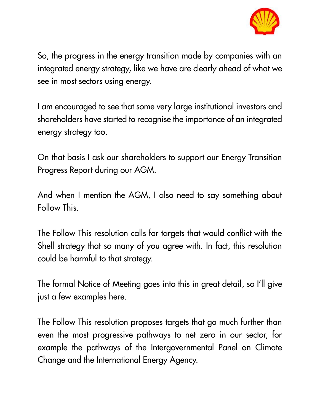

So, the progress in the energy transition made by companies with an integrated energy strategy, like we have are clearly ahead of what we see in most sectors using energy.

I am encouraged to see that some very large institutional investors and shareholders have started to recognise the importance of an integrated energy strategy too.

On that basis I ask our shareholders to support our Energy Transition Progress Report during our AGM.

And when I mention the AGM, I also need to say something about Follow This.

The Follow This resolution calls for targets that would conflict with the Shell strategy that so many of you agree with. In fact, this resolution could be harmful to that strategy.

The formal Notice of Meeting goes into this in great detail, so I'll give just a few examples here.

The Follow This resolution proposes targets that go much further than even the most progressive pathways to net zero in our sector, for example the pathways of the Intergovernmental Panel on Climate Change and the International Energy Agency.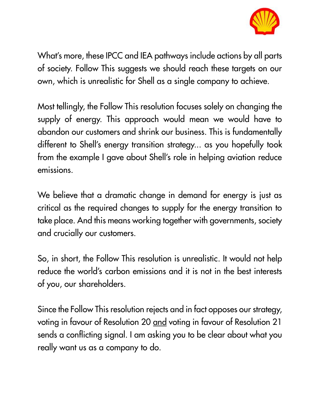

What's more, these IPCC and IEA pathways include actions by all parts of society. Follow This suggests we should reach these targets on our own, which is unrealistic for Shell as a single company to achieve.

Most tellingly, the Follow This resolution focuses solely on changing the supply of energy. This approach would mean we would have to abandon our customers and shrink our business. This is fundamentally different to Shell's energy transition strategy... as you hopefully took from the example I gave about Shell's role in helping aviation reduce emissions.

We believe that a dramatic change in demand for energy is just as critical as the required changes to supply for the energy transition to take place. And this means working together with governments, society and crucially our customers.

So, in short, the Follow This resolution is unrealistic. It would not help reduce the world's carbon emissions and it is not in the best interests of you, our shareholders.

Since the Follow This resolution rejects and in fact opposes our strategy, voting in favour of Resolution 20 and voting in favour of Resolution 21 sends a conflicting signal. I am asking you to be clear about what you really want us as a company to do.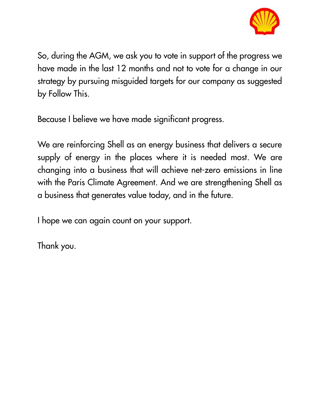

So, during the AGM, we ask you to vote in support of the progress we have made in the last 12 months and not to vote for a change in our strategy by pursuing misguided targets for our company as suggested by Follow This.

Because I believe we have made significant progress.

We are reinforcing Shell as an energy business that delivers a secure supply of energy in the places where it is needed most. We are changing into a business that will achieve net-zero emissions in line with the Paris Climate Agreement. And we are strengthening Shell as a business that generates value today, and in the future.

I hope we can again count on your support.

Thank you.